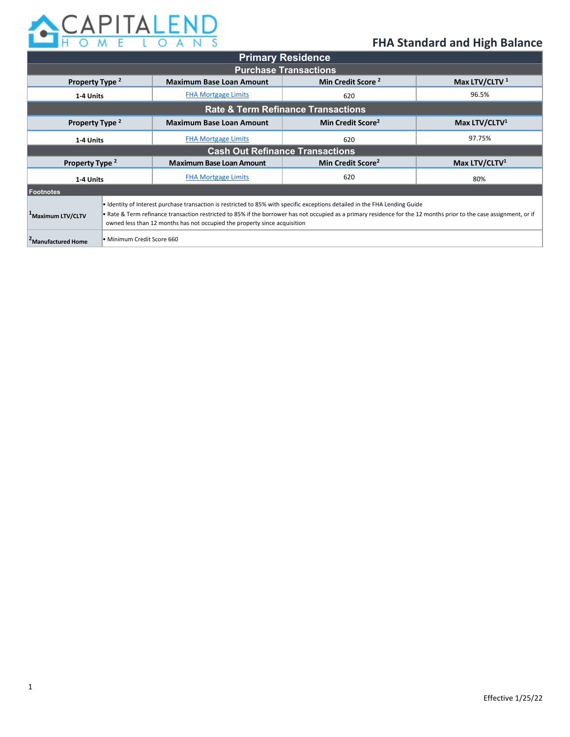

|                                               |                                                                                                                                                                                                                                                                                                                                                                                 |                                                                  | <b>Primary Residence</b>      |                           |  |  |
|-----------------------------------------------|---------------------------------------------------------------------------------------------------------------------------------------------------------------------------------------------------------------------------------------------------------------------------------------------------------------------------------------------------------------------------------|------------------------------------------------------------------|-------------------------------|---------------------------|--|--|
| <b>Purchase Transactions</b>                  |                                                                                                                                                                                                                                                                                                                                                                                 |                                                                  |                               |                           |  |  |
| Property Type <sup>2</sup>                    |                                                                                                                                                                                                                                                                                                                                                                                 | Min Credit Score <sup>2</sup><br><b>Maximum Base Loan Amount</b> |                               | Max LTV/CLTV <sup>1</sup> |  |  |
| 1-4 Units                                     |                                                                                                                                                                                                                                                                                                                                                                                 | <b>FHA Mortgage Limits</b>                                       | 620                           | 96.5%                     |  |  |
| <b>Rate &amp; Term Refinance Transactions</b> |                                                                                                                                                                                                                                                                                                                                                                                 |                                                                  |                               |                           |  |  |
| Property Type <sup>2</sup>                    |                                                                                                                                                                                                                                                                                                                                                                                 | <b>Maximum Base Loan Amount</b>                                  | Min Credit Score <sup>2</sup> | Max LTV/CLTV <sup>1</sup> |  |  |
| 1-4 Units                                     |                                                                                                                                                                                                                                                                                                                                                                                 | <b>FHA Mortgage Limits</b>                                       | 620                           | 97.75%                    |  |  |
| <b>Cash Out Refinance Transactions</b>        |                                                                                                                                                                                                                                                                                                                                                                                 |                                                                  |                               |                           |  |  |
| Property Type <sup>2</sup>                    |                                                                                                                                                                                                                                                                                                                                                                                 | <b>Maximum Base Loan Amount</b>                                  | Min Credit Score <sup>2</sup> | Max LTV/CLTV <sup>1</sup> |  |  |
| 1-4 Units                                     |                                                                                                                                                                                                                                                                                                                                                                                 | <b>FHA Mortgage Limits</b>                                       | 620                           | 80%                       |  |  |
| <b>Footnotes</b>                              |                                                                                                                                                                                                                                                                                                                                                                                 |                                                                  |                               |                           |  |  |
| <sup>1</sup> Maximum LTV/CLTV                 | • Identity of Interest purchase transaction is restricted to 85% with specific exceptions detailed in the FHA Lending Guide<br>• Rate & Term refinance transaction restricted to 85% if the borrower has not occupied as a primary residence for the 12 months prior to the case assignment, or if<br>owned less than 12 months has not occupied the property since acquisition |                                                                  |                               |                           |  |  |
| <b>-Manufactured Home</b>                     | Minimum Credit Score 660                                                                                                                                                                                                                                                                                                                                                        |                                                                  |                               |                           |  |  |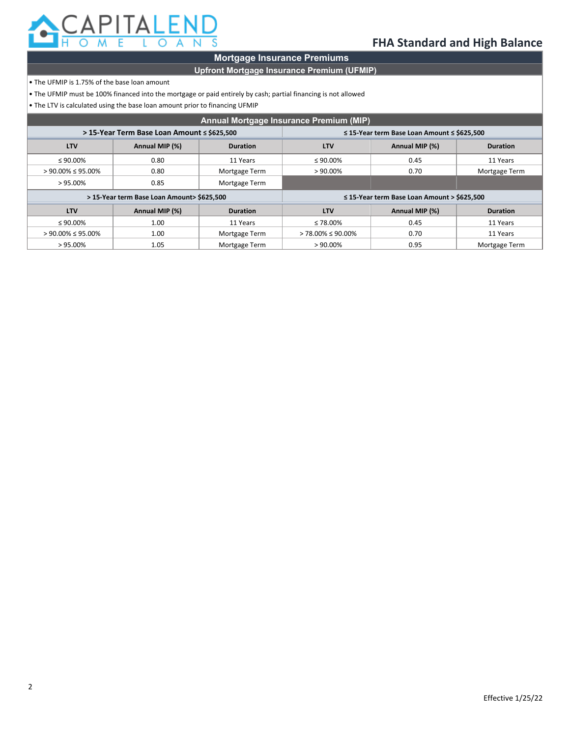

### **Mortgage Insurance Premiums**

### **Upfront Mortgage Insurance Premium (UFMIP)**

- The UFMIP is 1.75% of the base loan amount
- The UFMIP must be 100% financed into the mortgage or paid entirely by cash; partial financing is not allowed
- $\cdot$  The LTV is calculated using the base loan amount prior to financing UFMIP

| Annual Mortgage Insurance Premium (MIP) |                                             |                 |                                                       |                |                 |  |
|-----------------------------------------|---------------------------------------------|-----------------|-------------------------------------------------------|----------------|-----------------|--|
|                                         | > 15-Year Term Base Loan Amount ≤ \$625,500 |                 | $\leq$ 15-Year term Base Loan Amount $\leq$ \$625,500 |                |                 |  |
| <b>LTV</b>                              | Annual MIP (%)                              | <b>Duration</b> | <b>LTV</b>                                            | Annual MIP (%) | <b>Duration</b> |  |
| $\leq 90.00\%$                          | 0.80                                        | 11 Years        | $\leq 90.00\%$                                        | 0.45           | 11 Years        |  |
| $> 90.00\% \le 95.00\%$                 | 0.80                                        | Mortgage Term   | $>90.00\%$                                            | 0.70           | Mortgage Term   |  |
| $>95.00\%$                              | 0.85                                        | Mortgage Term   |                                                       |                |                 |  |
|                                         | > 15-Year term Base Loan Amount> \$625,500  |                 | $\leq$ 15-Year term Base Loan Amount > \$625,500      |                |                 |  |
| <b>LTV</b>                              | Annual MIP (%)                              | <b>Duration</b> | <b>LTV</b>                                            | Annual MIP (%) | <b>Duration</b> |  |
| $\leq 90.00\%$                          | 1.00                                        | 11 Years        | ≤ 78.00%                                              | 0.45           | 11 Years        |  |
| $> 90.00\% \le 95.00\%$                 | 1.00                                        | Mortgage Term   | $> 78.00\% \le 90.00\%$                               | 0.70           | 11 Years        |  |
| $>95.00\%$                              | 1.05                                        | Mortgage Term   | $>90.00\%$                                            | 0.95           | Mortgage Term   |  |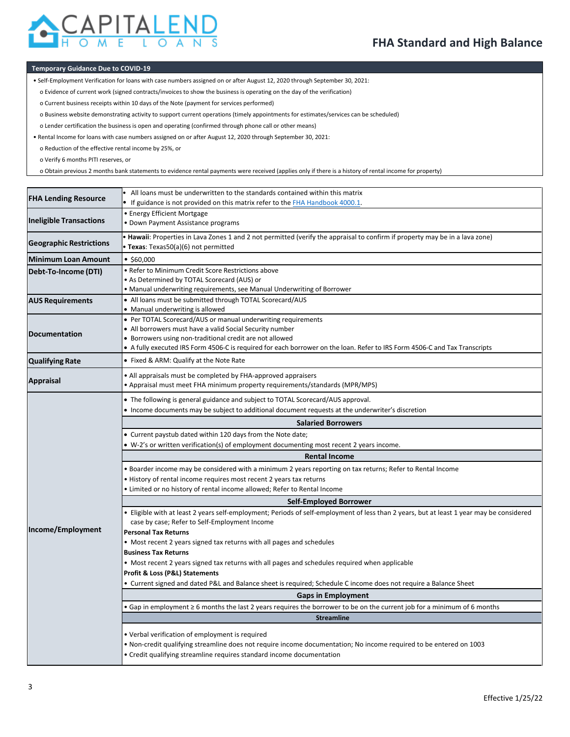

#### **Temporary Guidance Due to COVID-19**

- Self-Employment Verification for loans with case numbers assigned on or after August 12, 2020 through September 30, 2021:
	- o Evidence of current work (signed contracts/invoices to show the business is operating on the day of the verification)
	- o Current business receipts within 10 days of the Note (payment for services performed)
	- o Business website demonstrating activity to support current operations (timely appointments for estimates/services can be scheduled)
- o Lender certification the business is open and operating (confirmed through phone call or other means)
- Rental Income for loans with case numbers assigned on or after August 12, 2020 through September 30, 2021:
- o Reduction of the effective rental income by 25%, or
- o Verify 6 months PITI reserves, or
- o Obtain previous 2 months bank statements to evidence rental payments were received (applies only if there is a history of rental income for property)

| <b>FHA Lending Resource</b>    | All loans must be underwritten to the standards contained within this matrix<br>If guidance is not provided on this matrix refer to the FHA Handbook 4000.1.                                                                                                                                                      |  |  |  |  |  |
|--------------------------------|-------------------------------------------------------------------------------------------------------------------------------------------------------------------------------------------------------------------------------------------------------------------------------------------------------------------|--|--|--|--|--|
| <b>Ineligible Transactions</b> | • Energy Efficient Mortgage<br>• Down Payment Assistance programs                                                                                                                                                                                                                                                 |  |  |  |  |  |
| <b>Geographic Restrictions</b> | • Hawaii: Properties in Lava Zones 1 and 2 not permitted (verify the appraisal to confirm if property may be in a lava zone)<br>Texas: Texas50(a)(6) not permitted                                                                                                                                                |  |  |  |  |  |
| <b>Minimum Loan Amount</b>     | • \$60,000                                                                                                                                                                                                                                                                                                        |  |  |  |  |  |
| Debt-To-Income (DTI)           | • Refer to Minimum Credit Score Restrictions above<br>• As Determined by TOTAL Scorecard (AUS) or<br>. Manual underwriting requirements, see Manual Underwriting of Borrower                                                                                                                                      |  |  |  |  |  |
| <b>AUS Requirements</b>        | • All loans must be submitted through TOTAL Scorecard/AUS<br>• Manual underwriting is allowed                                                                                                                                                                                                                     |  |  |  |  |  |
| <b>Documentation</b>           | • Per TOTAL Scorecard/AUS or manual underwriting requirements<br>• All borrowers must have a valid Social Security number<br>• Borrowers using non-traditional credit are not allowed<br>A fully executed IRS Form 4506-C is required for each borrower on the loan. Refer to IRS Form 4506-C and Tax Transcripts |  |  |  |  |  |
| <b>Qualifying Rate</b>         | • Fixed & ARM: Qualify at the Note Rate                                                                                                                                                                                                                                                                           |  |  |  |  |  |
| <b>Appraisal</b>               | • All appraisals must be completed by FHA-approved appraisers<br>• Appraisal must meet FHA minimum property requirements/standards (MPR/MPS)                                                                                                                                                                      |  |  |  |  |  |
|                                | • The following is general guidance and subject to TOTAL Scorecard/AUS approval.<br>. Income documents may be subject to additional document requests at the underwriter's discretion                                                                                                                             |  |  |  |  |  |
|                                | <b>Salaried Borrowers</b>                                                                                                                                                                                                                                                                                         |  |  |  |  |  |
|                                | • Current paystub dated within 120 days from the Note date;                                                                                                                                                                                                                                                       |  |  |  |  |  |
|                                | • W-2's or written verification(s) of employment documenting most recent 2 years income.                                                                                                                                                                                                                          |  |  |  |  |  |
|                                | <b>Rental Income</b>                                                                                                                                                                                                                                                                                              |  |  |  |  |  |
|                                | . Boarder income may be considered with a minimum 2 years reporting on tax returns; Refer to Rental Income                                                                                                                                                                                                        |  |  |  |  |  |
|                                | • History of rental income requires most recent 2 years tax returns                                                                                                                                                                                                                                               |  |  |  |  |  |
|                                | . Limited or no history of rental income allowed; Refer to Rental Income                                                                                                                                                                                                                                          |  |  |  |  |  |
|                                | Self-Employed Borrower                                                                                                                                                                                                                                                                                            |  |  |  |  |  |
| Income/Employment              | • Eligible with at least 2 years self-employment; Periods of self-employment of less than 2 years, but at least 1 year may be considered<br>case by case; Refer to Self-Employment Income<br><b>Personal Tax Returns</b>                                                                                          |  |  |  |  |  |
|                                | • Most recent 2 years signed tax returns with all pages and schedules                                                                                                                                                                                                                                             |  |  |  |  |  |
|                                | <b>Business Tax Returns</b>                                                                                                                                                                                                                                                                                       |  |  |  |  |  |
|                                | • Most recent 2 years signed tax returns with all pages and schedules required when applicable                                                                                                                                                                                                                    |  |  |  |  |  |
|                                | Profit & Loss (P&L) Statements                                                                                                                                                                                                                                                                                    |  |  |  |  |  |
|                                | • Current signed and dated P&L and Balance sheet is required; Schedule C income does not require a Balance Sheet                                                                                                                                                                                                  |  |  |  |  |  |
|                                | <b>Gaps in Employment</b>                                                                                                                                                                                                                                                                                         |  |  |  |  |  |
|                                | • Gap in employment ≥ 6 months the last 2 years requires the borrower to be on the current job for a minimum of 6 months                                                                                                                                                                                          |  |  |  |  |  |
|                                | <b>Streamline</b>                                                                                                                                                                                                                                                                                                 |  |  |  |  |  |
|                                | • Verbal verification of employment is required<br>• Non-credit qualifying streamline does not require income documentation; No income required to be entered on 1003<br>• Credit qualifying streamline requires standard income documentation                                                                    |  |  |  |  |  |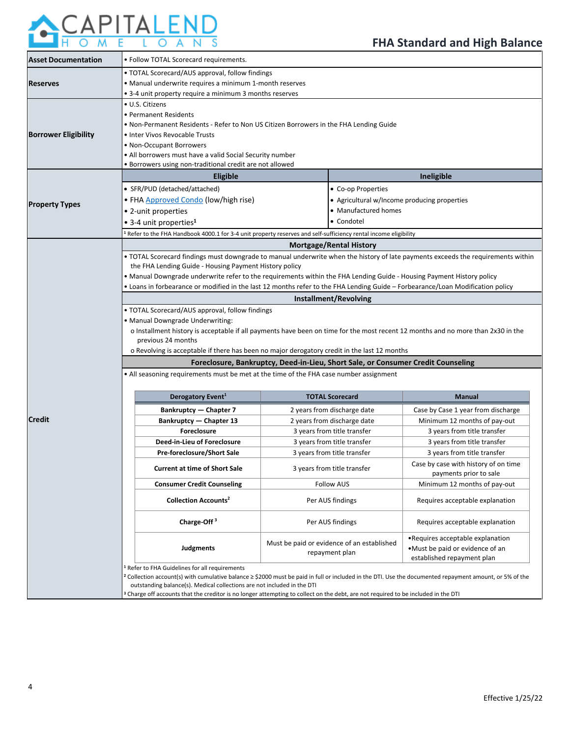

| <b>Asset Documentation</b>  | · Follow TOTAL Scorecard requirements.                                                                                                                |                                                                                                                                  |                                                            |  |  |  |  |  |
|-----------------------------|-------------------------------------------------------------------------------------------------------------------------------------------------------|----------------------------------------------------------------------------------------------------------------------------------|------------------------------------------------------------|--|--|--|--|--|
|                             | • TOTAL Scorecard/AUS approval, follow findings                                                                                                       |                                                                                                                                  |                                                            |  |  |  |  |  |
| <b>Reserves</b>             | • Manual underwrite requires a minimum 1-month reserves                                                                                               |                                                                                                                                  |                                                            |  |  |  |  |  |
|                             | • 3-4 unit property require a minimum 3 months reserves                                                                                               |                                                                                                                                  |                                                            |  |  |  |  |  |
|                             | • U.S. Citizens                                                                                                                                       |                                                                                                                                  |                                                            |  |  |  |  |  |
|                             | • Permanent Residents                                                                                                                                 |                                                                                                                                  |                                                            |  |  |  |  |  |
|                             |                                                                                                                                                       | • Non-Permanent Residents - Refer to Non US Citizen Borrowers in the FHA Lending Guide                                           |                                                            |  |  |  |  |  |
| <b>Borrower Eligibility</b> | · Inter Vivos Revocable Trusts                                                                                                                        |                                                                                                                                  |                                                            |  |  |  |  |  |
|                             | • Non-Occupant Borrowers                                                                                                                              |                                                                                                                                  |                                                            |  |  |  |  |  |
|                             | • All borrowers must have a valid Social Security number                                                                                              |                                                                                                                                  |                                                            |  |  |  |  |  |
|                             | · Borrowers using non-traditional credit are not allowed                                                                                              |                                                                                                                                  |                                                            |  |  |  |  |  |
|                             | <b>Eligible</b>                                                                                                                                       |                                                                                                                                  | Ineligible                                                 |  |  |  |  |  |
|                             | • SFR/PUD (detached/attached)                                                                                                                         | • Co-op Properties                                                                                                               |                                                            |  |  |  |  |  |
|                             | · FHA Approved Condo (low/high rise)                                                                                                                  |                                                                                                                                  | • Agricultural w/Income producing properties               |  |  |  |  |  |
| <b>Property Types</b>       | • 2-unit properties                                                                                                                                   | • Manufactured homes                                                                                                             |                                                            |  |  |  |  |  |
|                             |                                                                                                                                                       | • Condotel                                                                                                                       |                                                            |  |  |  |  |  |
|                             | • 3-4 unit properties <sup>1</sup>                                                                                                                    |                                                                                                                                  |                                                            |  |  |  |  |  |
|                             |                                                                                                                                                       | <sup>1</sup> Refer to the FHA Handbook 4000.1 for 3-4 unit property reserves and self-sufficiency rental income eligibility      |                                                            |  |  |  |  |  |
|                             |                                                                                                                                                       | <b>Mortgage/Rental History</b>                                                                                                   |                                                            |  |  |  |  |  |
|                             |                                                                                                                                                       | . TOTAL Scorecard findings must downgrade to manual underwrite when the history of late payments exceeds the requirements within |                                                            |  |  |  |  |  |
|                             | the FHA Lending Guide - Housing Payment History policy                                                                                                |                                                                                                                                  |                                                            |  |  |  |  |  |
|                             |                                                                                                                                                       | • Manual Downgrade underwrite refer to the requirements within the FHA Lending Guide - Housing Payment History policy            |                                                            |  |  |  |  |  |
|                             |                                                                                                                                                       | . Loans in forbearance or modified in the last 12 months refer to the FHA Lending Guide - Forbearance/Loan Modification policy   |                                                            |  |  |  |  |  |
|                             |                                                                                                                                                       | Installment/Revolving                                                                                                            |                                                            |  |  |  |  |  |
|                             | • TOTAL Scorecard/AUS approval, follow findings                                                                                                       |                                                                                                                                  |                                                            |  |  |  |  |  |
|                             | • Manual Downgrade Underwriting:                                                                                                                      |                                                                                                                                  |                                                            |  |  |  |  |  |
|                             | o Installment history is acceptable if all payments have been on time for the most recent 12 months and no more than 2x30 in the                      |                                                                                                                                  |                                                            |  |  |  |  |  |
|                             | previous 24 months                                                                                                                                    |                                                                                                                                  |                                                            |  |  |  |  |  |
|                             | o Revolving is acceptable if there has been no major derogatory credit in the last 12 months                                                          |                                                                                                                                  |                                                            |  |  |  |  |  |
|                             | Foreclosure, Bankruptcy, Deed-in-Lieu, Short Sale, or Consumer Credit Counseling                                                                      |                                                                                                                                  |                                                            |  |  |  |  |  |
|                             | • All seasoning requirements must be met at the time of the FHA case number assignment                                                                |                                                                                                                                  |                                                            |  |  |  |  |  |
|                             | Derogatory Event <sup>1</sup>                                                                                                                         | <b>TOTAL Scorecard</b>                                                                                                           | <b>Manual</b>                                              |  |  |  |  |  |
|                             | <b>Bankruptcy - Chapter 7</b>                                                                                                                         | 2 years from discharge date                                                                                                      | Case by Case 1 year from discharge                         |  |  |  |  |  |
| <b>Credit</b>               | <b>Bankruptcy - Chapter 13</b>                                                                                                                        | 2 years from discharge date                                                                                                      | Minimum 12 months of pay-out                               |  |  |  |  |  |
|                             | <b>Foreclosure</b>                                                                                                                                    | 3 years from title transfer                                                                                                      | 3 years from title transfer                                |  |  |  |  |  |
|                             | Deed-in-Lieu of Foreclosure                                                                                                                           | 3 years from title transfer                                                                                                      |                                                            |  |  |  |  |  |
|                             |                                                                                                                                                       | 3 years from title transfer                                                                                                      | 3 years from title transfer<br>3 years from title transfer |  |  |  |  |  |
|                             | Pre-foreclosure/Short Sale                                                                                                                            |                                                                                                                                  |                                                            |  |  |  |  |  |
|                             | <b>Current at time of Short Sale</b>                                                                                                                  | 3 years from title transfer                                                                                                      | Case by case with history of on time                       |  |  |  |  |  |
|                             | <b>Consumer Credit Counseling</b>                                                                                                                     | <b>Follow AUS</b>                                                                                                                | payments prior to sale                                     |  |  |  |  |  |
|                             |                                                                                                                                                       |                                                                                                                                  | Minimum 12 months of pay-out                               |  |  |  |  |  |
|                             | <b>Collection Accounts<sup>2</sup></b>                                                                                                                | Per AUS findings                                                                                                                 | Requires acceptable explanation                            |  |  |  |  |  |
|                             |                                                                                                                                                       |                                                                                                                                  |                                                            |  |  |  |  |  |
|                             | Charge-Off $3$                                                                                                                                        | Per AUS findings                                                                                                                 | Requires acceptable explanation                            |  |  |  |  |  |
|                             |                                                                                                                                                       |                                                                                                                                  | •Requires acceptable explanation                           |  |  |  |  |  |
|                             | Judgments                                                                                                                                             | Must be paid or evidence of an established                                                                                       | •Must be paid or evidence of an                            |  |  |  |  |  |
|                             |                                                                                                                                                       | repayment plan                                                                                                                   | established repayment plan                                 |  |  |  |  |  |
|                             | Refer to FHA Guidelines for all requirements                                                                                                          |                                                                                                                                  |                                                            |  |  |  |  |  |
|                             | Collection account(s) with cumulative balance ≥ \$2000 must be paid in full or included in the DTI. Use the documented repayment amount, or 5% of the |                                                                                                                                  |                                                            |  |  |  |  |  |
|                             | outstanding balance(s). Medical collections are not included in the DTI                                                                               |                                                                                                                                  |                                                            |  |  |  |  |  |
|                             | Charge off accounts that the creditor is no longer attempting to collect on the debt, are not required to be included in the DTI                      |                                                                                                                                  |                                                            |  |  |  |  |  |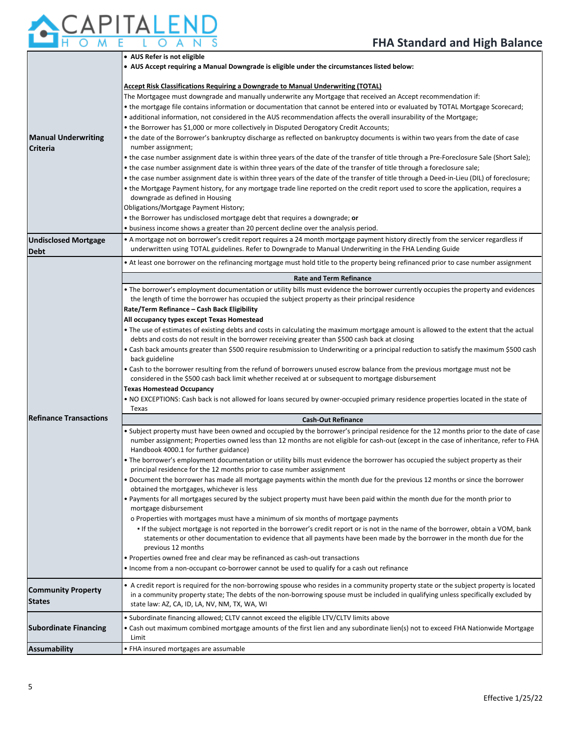# APITALEND  $\overline{\rm o}$

|                                     | • AUS Refer is not eligible                                                                                                                                                                                                                   |  |  |  |  |  |
|-------------------------------------|-----------------------------------------------------------------------------------------------------------------------------------------------------------------------------------------------------------------------------------------------|--|--|--|--|--|
|                                     | . AUS Accept requiring a Manual Downgrade is eligible under the circumstances listed below:                                                                                                                                                   |  |  |  |  |  |
|                                     | Accept Risk Classifications Requiring a Downgrade to Manual Underwriting (TOTAL)                                                                                                                                                              |  |  |  |  |  |
|                                     | The Mortgagee must downgrade and manually underwrite any Mortgage that received an Accept recommendation if:                                                                                                                                  |  |  |  |  |  |
|                                     | • the mortgage file contains information or documentation that cannot be entered into or evaluated by TOTAL Mortgage Scorecard;                                                                                                               |  |  |  |  |  |
|                                     | • additional information, not considered in the AUS recommendation affects the overall insurability of the Mortgage;                                                                                                                          |  |  |  |  |  |
|                                     | • the Borrower has \$1,000 or more collectively in Disputed Derogatory Credit Accounts;                                                                                                                                                       |  |  |  |  |  |
| <b>Manual Underwriting</b>          | . the date of the Borrower's bankruptcy discharge as reflected on bankruptcy documents is within two years from the date of case                                                                                                              |  |  |  |  |  |
| <b>Criteria</b>                     | number assignment;                                                                                                                                                                                                                            |  |  |  |  |  |
|                                     | • the case number assignment date is within three years of the date of the transfer of title through a Pre-Foreclosure Sale (Short Sale);                                                                                                     |  |  |  |  |  |
|                                     | • the case number assignment date is within three years of the date of the transfer of title through a foreclosure sale;                                                                                                                      |  |  |  |  |  |
|                                     | • the case number assignment date is within three years of the date of the transfer of title through a Deed-in-Lieu (DIL) of foreclosure;                                                                                                     |  |  |  |  |  |
|                                     | • the Mortgage Payment history, for any mortgage trade line reported on the credit report used to score the application, requires a                                                                                                           |  |  |  |  |  |
|                                     | downgrade as defined in Housing                                                                                                                                                                                                               |  |  |  |  |  |
|                                     | Obligations/Mortgage Payment History;                                                                                                                                                                                                         |  |  |  |  |  |
|                                     | • the Borrower has undisclosed mortgage debt that requires a downgrade; or                                                                                                                                                                    |  |  |  |  |  |
|                                     | • business income shows a greater than 20 percent decline over the analysis period.                                                                                                                                                           |  |  |  |  |  |
| <b>Undisclosed Mortgage</b><br>Debt | • A mortgage not on borrower's credit report requires a 24 month mortgage payment history directly from the servicer regardless if<br>underwritten using TOTAL guidelines. Refer to Downgrade to Manual Underwriting in the FHA Lending Guide |  |  |  |  |  |
|                                     | • At least one borrower on the refinancing mortgage must hold title to the property being refinanced prior to case number assignment                                                                                                          |  |  |  |  |  |
|                                     | <b>Rate and Term Refinance</b>                                                                                                                                                                                                                |  |  |  |  |  |
|                                     | . The borrower's employment documentation or utility bills must evidence the borrower currently occupies the property and evidences                                                                                                           |  |  |  |  |  |
|                                     | the length of time the borrower has occupied the subject property as their principal residence                                                                                                                                                |  |  |  |  |  |
|                                     | Rate/Term Refinance - Cash Back Eligibility                                                                                                                                                                                                   |  |  |  |  |  |
|                                     | All occupancy types except Texas Homestead                                                                                                                                                                                                    |  |  |  |  |  |
|                                     | . The use of estimates of existing debts and costs in calculating the maximum mortgage amount is allowed to the extent that the actual<br>debts and costs do not result in the borrower receiving greater than \$500 cash back at closing     |  |  |  |  |  |
|                                     | • Cash back amounts greater than \$500 require resubmission to Underwriting or a principal reduction to satisfy the maximum \$500 cash<br>back guideline                                                                                      |  |  |  |  |  |
|                                     | . Cash to the borrower resulting from the refund of borrowers unused escrow balance from the previous mortgage must not be<br>considered in the \$500 cash back limit whether received at or subsequent to mortgage disbursement              |  |  |  |  |  |
|                                     | <b>Texas Homestead Occupancy</b>                                                                                                                                                                                                              |  |  |  |  |  |
|                                     | • NO EXCEPTIONS: Cash back is not allowed for loans secured by owner-occupied primary residence properties located in the state of                                                                                                            |  |  |  |  |  |
|                                     | Texas                                                                                                                                                                                                                                         |  |  |  |  |  |
| <b>Refinance Transactions</b>       | <b>Cash-Out Refinance</b>                                                                                                                                                                                                                     |  |  |  |  |  |
|                                     | . Subject property must have been owned and occupied by the borrower's principal residence for the 12 months prior to the date of case                                                                                                        |  |  |  |  |  |
|                                     | number assignment; Properties owned less than 12 months are not eligible for cash-out (except in the case of inheritance, refer to FHA                                                                                                        |  |  |  |  |  |
|                                     | Handbook 4000.1 for further guidance)                                                                                                                                                                                                         |  |  |  |  |  |
|                                     | . The borrower's employment documentation or utility bills must evidence the borrower has occupied the subject property as their<br>principal residence for the 12 months prior to case number assignment                                     |  |  |  |  |  |
|                                     | . Document the borrower has made all mortgage payments within the month due for the previous 12 months or since the borrower                                                                                                                  |  |  |  |  |  |
|                                     | obtained the mortgages, whichever is less                                                                                                                                                                                                     |  |  |  |  |  |
|                                     | . Payments for all mortgages secured by the subject property must have been paid within the month due for the month prior to<br>mortgage disbursement                                                                                         |  |  |  |  |  |
|                                     | o Properties with mortgages must have a minimum of six months of mortgage payments                                                                                                                                                            |  |  |  |  |  |
|                                     | . If the subject mortgage is not reported in the borrower's credit report or is not in the name of the borrower, obtain a VOM, bank                                                                                                           |  |  |  |  |  |
|                                     | statements or other documentation to evidence that all payments have been made by the borrower in the month due for the                                                                                                                       |  |  |  |  |  |
|                                     | previous 12 months                                                                                                                                                                                                                            |  |  |  |  |  |
|                                     | • Properties owned free and clear may be refinanced as cash-out transactions                                                                                                                                                                  |  |  |  |  |  |
|                                     | • Income from a non-occupant co-borrower cannot be used to qualify for a cash out refinance                                                                                                                                                   |  |  |  |  |  |
| <b>Community Property</b>           | • A credit report is required for the non-borrowing spouse who resides in a community property state or the subject property is located                                                                                                       |  |  |  |  |  |
| <b>States</b>                       | in a community property state; The debts of the non-borrowing spouse must be included in qualifying unless specifically excluded by                                                                                                           |  |  |  |  |  |
|                                     | state law: AZ, CA, ID, LA, NV, NM, TX, WA, WI                                                                                                                                                                                                 |  |  |  |  |  |
|                                     | . Subordinate financing allowed; CLTV cannot exceed the eligible LTV/CLTV limits above                                                                                                                                                        |  |  |  |  |  |
| <b>Subordinate Financing</b>        | • Cash out maximum combined mortgage amounts of the first lien and any subordinate lien(s) not to exceed FHA Nationwide Mortgage                                                                                                              |  |  |  |  |  |
|                                     | Limit                                                                                                                                                                                                                                         |  |  |  |  |  |
| <b>Assumability</b>                 | • FHA insured mortgages are assumable                                                                                                                                                                                                         |  |  |  |  |  |